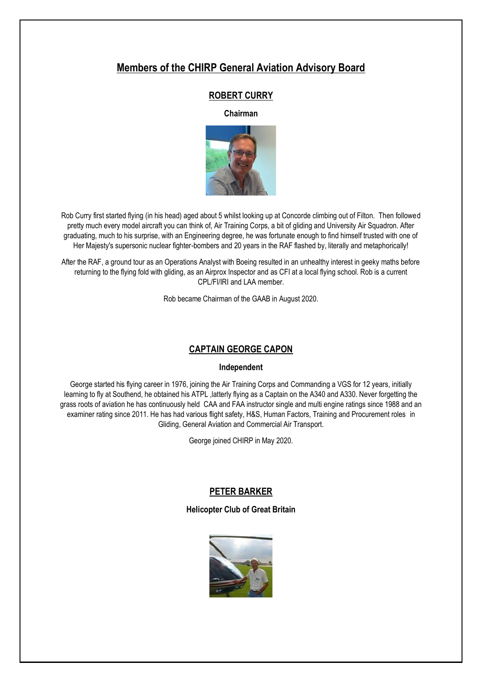# **Members of the CHIRP General Aviation Advisory Board**

# **ROBERT CURRY**

**Chairman**



Rob Curry first started flying (in his head) aged about 5 whilst looking up at Concorde climbing out of Filton. Then followed pretty much every model aircraft you can think of, Air Training Corps, a bit of gliding and University Air Squadron. After graduating, much to his surprise, with an Engineering degree, he was fortunate enough to find himself trusted with one of Her Majesty's supersonic nuclear fighter-bombers and 20 years in the RAF flashed by, literally and metaphorically!

After the RAF, a ground tour as an Operations Analyst with Boeing resulted in an unhealthy interest in geeky maths before returning to the flying fold with gliding, as an Airprox Inspector and as CFI at a local flying school. Rob is a current CPL/FI/IRI and LAA member.

Rob became Chairman of the GAAB in August 2020.

# **CAPTAIN GEORGE CAPON**

#### **Independent**

George started his flying career in 1976, joining the Air Training Corps and Commanding a VGS for 12 years, initially learning to fly at Southend, he obtained his ATPL ,latterly flying as a Captain on the A340 and A330. Never forgetting the grass roots of aviation he has continuously held CAA and FAA instructor single and multi engine ratings since 1988 and an examiner rating since 2011. He has had various flight safety, H&S, Human Factors, Training and Procurement roles in Gliding, General Aviation and Commercial Air Transport.

George joined CHIRP in May 2020.

# **PETER BARKER**

## **Helicopter Club of Great Britain**

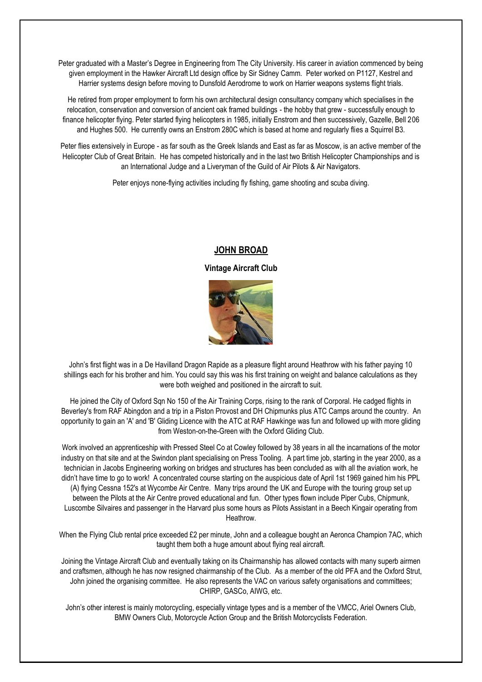Peter graduated with a Master's Degree in Engineering from The City University. His career in aviation commenced by being given employment in the Hawker Aircraft Ltd design office by Sir Sidney Camm. Peter worked on P1127, Kestrel and Harrier systems design before moving to Dunsfold Aerodrome to work on Harrier weapons systems flight trials.

He retired from proper employment to form his own architectural design consultancy company which specialises in the relocation, conservation and conversion of ancient oak framed buildings - the hobby that grew - successfully enough to finance helicopter flying. Peter started flying helicopters in 1985, initially Enstrom and then successively, Gazelle, Bell 206 and Hughes 500. He currently owns an Enstrom 280C which is based at home and regularly flies a Squirrel B3.

Peter flies extensively in Europe - as far south as the Greek Islands and East as far as Moscow, is an active member of the Helicopter Club of Great Britain. He has competed historically and in the last two British Helicopter Championships and is an International Judge and a Liveryman of the Guild of Air Pilots & Air Navigators.

Peter enjoys none-flying activities including fly fishing, game shooting and scuba diving.

# **JOHN BROAD**

**Vintage Aircraft Club**



John's first flight was in a De Havilland Dragon Rapide as a pleasure flight around Heathrow with his father paying 10 shillings each for his brother and him. You could say this was his first training on weight and balance calculations as they were both weighed and positioned in the aircraft to suit.

He joined the City of Oxford Sqn No 150 of the Air Training Corps, rising to the rank of Corporal. He cadged flights in Beverley's from RAF Abingdon and a trip in a Piston Provost and DH Chipmunks plus ATC Camps around the country. An opportunity to gain an 'A' and 'B' Gliding Licence with the ATC at RAF Hawkinge was fun and followed up with more gliding from Weston-on-the-Green with the Oxford Gliding Club.

Work involved an apprenticeship with Pressed Steel Co at Cowley followed by 38 years in all the incarnations of the motor industry on that site and at the Swindon plant specialising on Press Tooling. A part time job, starting in the year 2000, as a technician in Jacobs Engineering working on bridges and structures has been concluded as with all the aviation work, he didn't have time to go to work! A concentrated course starting on the auspicious date of April 1st 1969 gained him his PPL (A) flying Cessna 152's at Wycombe Air Centre. Many trips around the UK and Europe with the touring group set up between the Pilots at the Air Centre proved educational and fun. Other types flown include Piper Cubs, Chipmunk, Luscombe Silvaires and passenger in the Harvard plus some hours as Pilots Assistant in a Beech Kingair operating from Heathrow.

When the Flying Club rental price exceeded £2 per minute, John and a colleague bought an Aeronca Champion 7AC, which taught them both a huge amount about flying real aircraft.

Joining the Vintage Aircraft Club and eventually taking on its Chairmanship has allowed contacts with many superb airmen and craftsmen, although he has now resigned chairmanship of the Club. As a member of the old PFA and the Oxford Strut, John joined the organising committee. He also represents the VAC on various safety organisations and committees; CHIRP, GASCo, AIWG, etc.

John's other interest is mainly motorcycling, especially vintage types and is a member of the VMCC, Ariel Owners Club, BMW Owners Club, Motorcycle Action Group and the British Motorcyclists Federation.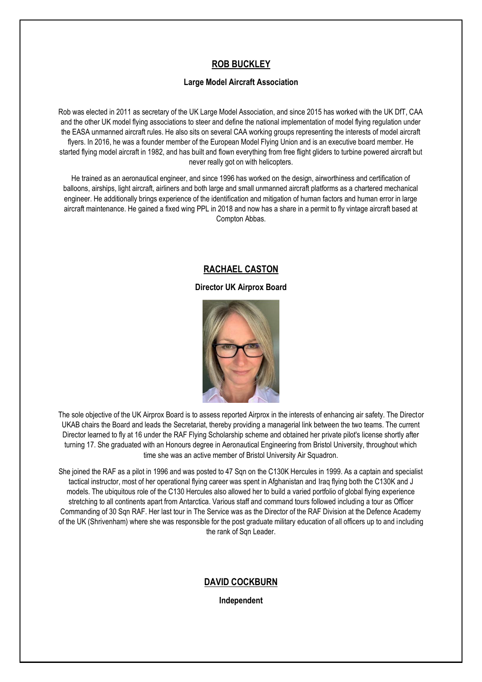# **ROB BUCKLEY**

## **Large Model Aircraft Association**

Rob was elected in 2011 as secretary of the UK Large Model Association, and since 2015 has worked with the UK DfT, CAA and the other UK model flying associations to steer and define the national implementation of model flying regulation under the EASA unmanned aircraft rules. He also sits on several CAA working groups representing the interests of model aircraft flyers. In 2016, he was a founder member of the European Model Flying Union and is an executive board member. He started flying model aircraft in 1982, and has built and flown everything from free flight gliders to turbine powered aircraft but never really got on with helicopters.

He trained as an aeronautical engineer, and since 1996 has worked on the design, airworthiness and certification of balloons, airships, light aircraft, airliners and both large and small unmanned aircraft platforms as a chartered mechanical engineer. He additionally brings experience of the identification and mitigation of human factors and human error in large aircraft maintenance. He gained a fixed wing PPL in 2018 and now has a share in a permit to fly vintage aircraft based at Compton Abbas.

# **RACHAEL CASTON**

## **Director UK Airprox Board**



The sole objective of the UK Airprox Board is to assess reported Airprox in the interests of enhancing air safety. The Director UKAB chairs the Board and leads the Secretariat, thereby providing a managerial link between the two teams. The current Director learned to fly at 16 under the RAF Flying Scholarship scheme and obtained her private pilot's license shortly after turning 17. She graduated with an Honours degree in Aeronautical Engineering from Bristol University, throughout which time she was an active member of Bristol University Air Squadron.

She joined the RAF as a pilot in 1996 and was posted to 47 Sqn on the C130K Hercules in 1999. As a captain and specialist tactical instructor, most of her operational flying career was spent in Afghanistan and Iraq flying both the C130K and J models. The ubiquitous role of the C130 Hercules also allowed her to build a varied portfolio of global flying experience stretching to all continents apart from Antarctica. Various staff and command tours followed including a tour as Officer Commanding of 30 Sqn RAF. Her last tour in The Service was as the Director of the RAF Division at the Defence Academy of the UK (Shrivenham) where she was responsible for the post graduate military education of all officers up to and including the rank of Sqn Leader.

# **DAVID COCKBURN**

**Independent**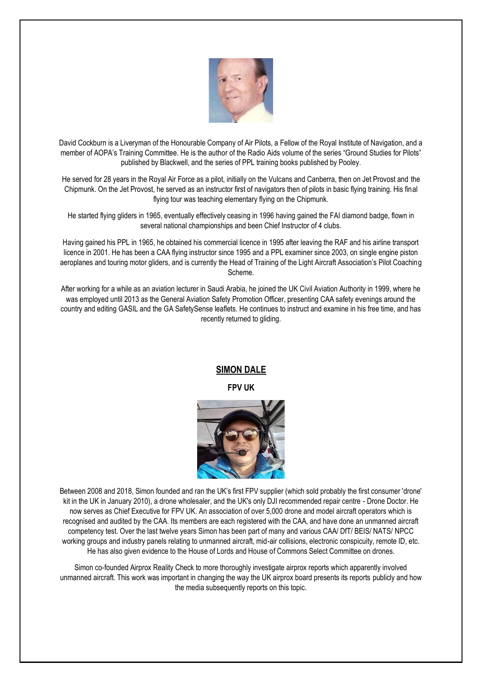

David Cockburn is a Liveryman of the Honourable Company of Air Pilots, a Fellow of the Royal Institute of Navigation, and a member of AOPA's Training Committee. He is the author of the Radio Aids volume of the series "Ground Studies for Pilots" published by Blackwell, and the series of PPL training books published by Pooley.

He served for 28 years in the Royal Air Force as a pilot, initially on the Vulcans and Canberra, then on Jet Provost and the Chipmunk. On the Jet Provost, he served as an instructor first of navigators then of pilots in basic flying training. His final flying tour was teaching elementary flying on the Chipmunk.

He started flying gliders in 1965, eventually effectively ceasing in 1996 having gained the FAI diamond badge, flown in several national championships and been Chief Instructor of 4 clubs.

Having gained his PPL in 1965, he obtained his commercial licence in 1995 after leaving the RAF and his airline transport licence in 2001. He has been a CAA flying instructor since 1995 and a PPL examiner since 2003, on single engine piston aeroplanes and touring motor gliders, and is currently the Head of Training of the Light Aircraft Association's Pilot Coaching Scheme.

After working for a while as an aviation lecturer in Saudi Arabia, he joined the UK Civil Aviation Authority in 1999, where he was employed until 2013 as the General Aviation Safety Promotion Officer, presenting CAA safety evenings around the country and editing GASIL and the GA SafetySense leaflets. He continues to instruct and examine in his free time, and has recently returned to gliding.

# **SIMON DALE**

**FPV UK**



Between 2008 and 2018, Simon founded and ran the UK's first FPV supplier (which sold probably the first consumer 'drone' kit in the UK in January 2010), a drone wholesaler, and the UK's only DJI recommended repair centre - Drone Doctor. He now serves as Chief Executive for FPV UK. An association of over 5,000 drone and model aircraft operators which is recognised and audited by the CAA. Its members are each registered with the CAA, and have done an unmanned aircraft competency test. Over the last twelve years Simon has been part of many and various CAA/ DfT/ BEIS/ NATS/ NPCC working groups and industry panels relating to unmanned aircraft, mid-air collisions, electronic conspicuity, remote ID, etc. He has also given evidence to the House of Lords and House of Commons Select Committee on drones.

Simon co-founded Airprox Reality Check to more thoroughly investigate airprox reports which apparently involved unmanned aircraft. This work was important in changing the way the UK airprox board presents its reports publicly and how the media subsequently reports on this topic.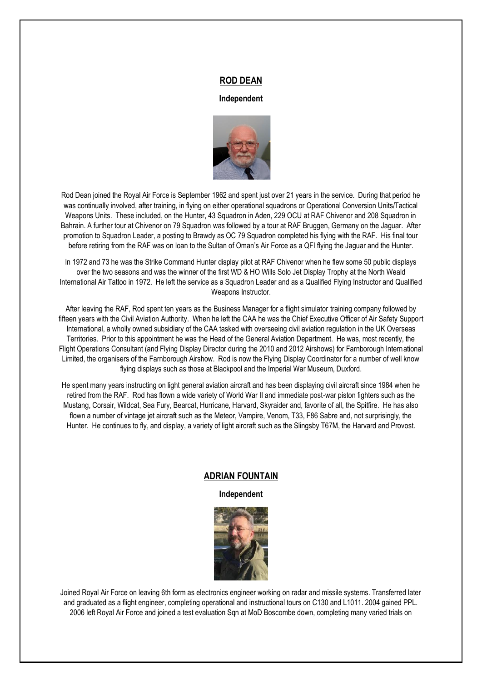#### **ROD DEAN**

#### **Independent**



Rod Dean joined the Royal Air Force is September 1962 and spent just over 21 years in the service. During that period he was continually involved, after training, in flying on either operational squadrons or Operational Conversion Units/Tactical Weapons Units. These included, on the Hunter, 43 Squadron in Aden, 229 OCU at RAF Chivenor and 208 Squadron in Bahrain. A further tour at Chivenor on 79 Squadron was followed by a tour at RAF Bruggen, Germany on the Jaguar. After promotion to Squadron Leader, a posting to Brawdy as OC 79 Squadron completed his flying with the RAF. His final tour before retiring from the RAF was on loan to the Sultan of Oman's Air Force as a QFI flying the Jaguar and the Hunter.

In 1972 and 73 he was the Strike Command Hunter display pilot at RAF Chivenor when he flew some 50 public displays over the two seasons and was the winner of the first WD & HO Wills Solo Jet Display Trophy at the North Weald International Air Tattoo in 1972. He left the service as a Squadron Leader and as a Qualified Flying Instructor and Qualified Weapons Instructor.

After leaving the RAF, Rod spent ten years as the Business Manager for a flight simulator training company followed by fifteen years with the Civil Aviation Authority. When he left the CAA he was the Chief Executive Officer of Air Safety Support International, a wholly owned subsidiary of the CAA tasked with overseeing civil aviation regulation in the UK Overseas Territories. Prior to this appointment he was the Head of the General Aviation Department. He was, most recently, the Flight Operations Consultant (and Flying Display Director during the 2010 and 2012 Airshows) for Farnborough International Limited, the organisers of the Farnborough Airshow. Rod is now the Flying Display Coordinator for a number of well know flying displays such as those at Blackpool and the Imperial War Museum, Duxford.

He spent many years instructing on light general aviation aircraft and has been displaying civil aircraft since 1984 when he retired from the RAF. Rod has flown a wide variety of World War II and immediate post-war piston fighters such as the Mustang, Corsair, Wildcat, Sea Fury, Bearcat, Hurricane, Harvard, Skyraider and, favorite of all, the Spitfire. He has also flown a number of vintage jet aircraft such as the Meteor, Vampire, Venom, T33, F86 Sabre and, not surprisingly, the Hunter. He continues to fly, and display, a variety of light aircraft such as the Slingsby T67M, the Harvard and Provost.

## **ADRIAN FOUNTAIN**

**Independent**



Joined Royal Air Force on leaving 6th form as electronics engineer working on radar and missile systems. Transferred later and graduated as a flight engineer, completing operational and instructional tours on C130 and L1011. 2004 gained PPL. 2006 left Royal Air Force and joined a test evaluation Sqn at MoD Boscombe down, completing many varied trials on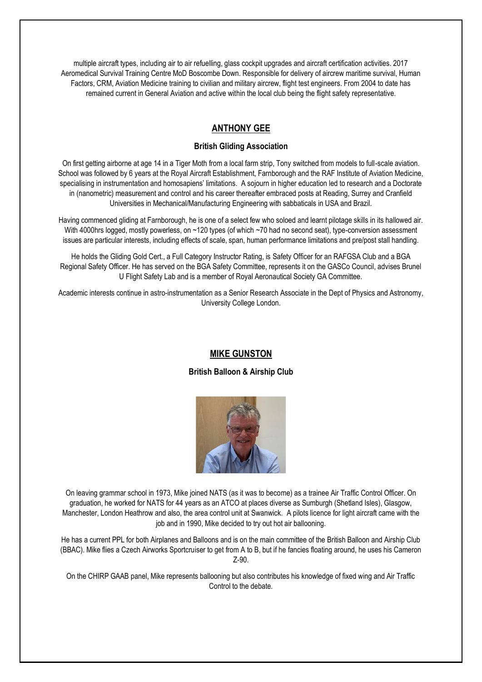multiple aircraft types, including air to air refuelling, glass cockpit upgrades and aircraft certification activities. 2017 Aeromedical Survival Training Centre MoD Boscombe Down. Responsible for delivery of aircrew maritime survival, Human Factors, CRM, Aviation Medicine training to civilian and military aircrew, flight test engineers. From 2004 to date has remained current in General Aviation and active within the local club being the flight safety representative.

# **ANTHONY GEE**

#### **British Gliding Association**

On first getting airborne at age 14 in a Tiger Moth from a local farm strip, Tony switched from models to full-scale aviation. School was followed by 6 years at the Royal Aircraft Establishment, Farnborough and the RAF Institute of Aviation Medicine, specialising in instrumentation and homosapiens' limitations. A sojourn in higher education led to research and a Doctorate in (nanometric) measurement and control and his career thereafter embraced posts at Reading, Surrey and Cranfield Universities in Mechanical/Manufacturing Engineering with sabbaticals in USA and Brazil.

Having commenced gliding at Farnborough, he is one of a select few who soloed and learnt pilotage skills in its hallowed air. With 4000hrs logged, mostly powerless, on ~120 types (of which ~70 had no second seat), type-conversion assessment issues are particular interests, including effects of scale, span, human performance limitations and pre/post stall handling.

He holds the Gliding Gold Cert., a Full Category Instructor Rating, is Safety Officer for an RAFGSA Club and a BGA Regional Safety Officer. He has served on the BGA Safety Committee, represents it on the GASCo Council, advises Brunel U Flight Safety Lab and is a member of Royal Aeronautical Society GA Committee.

Academic interests continue in astro-instrumentation as a Senior Research Associate in the Dept of Physics and Astronomy, University College London.

## **MIKE GUNSTON**

#### **British Balloon & Airship Club**



On leaving grammar school in 1973, Mike joined NATS (as it was to become) as a trainee Air Traffic Control Officer. On graduation, he worked for NATS for 44 years as an ATCO at places diverse as Sumburgh (Shetland Isles), Glasgow, Manchester, London Heathrow and also, the area control unit at Swanwick. A pilots licence for light aircraft came with the job and in 1990, Mike decided to try out hot air ballooning.

He has a current PPL for both Airplanes and Balloons and is on the main committee of the British Balloon and Airship Club (BBAC). Mike flies a Czech Airworks Sportcruiser to get from A to B, but if he fancies floating around, he uses his Cameron Z-90.

On the CHIRP GAAB panel, Mike represents ballooning but also contributes his knowledge of fixed wing and Air Traffic Control to the debate.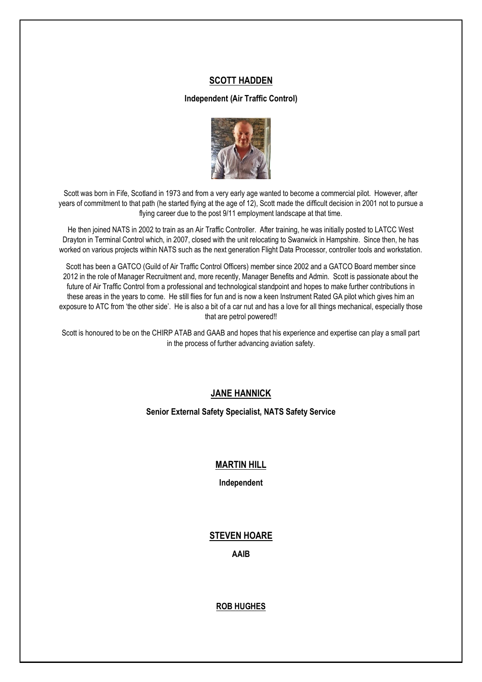# **SCOTT HADDEN**

#### **Independent (Air Traffic Control)**



Scott was born in Fife, Scotland in 1973 and from a very early age wanted to become a commercial pilot. However, after years of commitment to that path (he started flying at the age of 12), Scott made the difficult decision in 2001 not to pursue a flying career due to the post 9/11 employment landscape at that time.

He then joined NATS in 2002 to train as an Air Traffic Controller. After training, he was initially posted to LATCC West Drayton in Terminal Control which, in 2007, closed with the unit relocating to Swanwick in Hampshire. Since then, he has worked on various projects within NATS such as the next generation Flight Data Processor, controller tools and workstation.

Scott has been a GATCO (Guild of Air Traffic Control Officers) member since 2002 and a GATCO Board member since 2012 in the role of Manager Recruitment and, more recently, Manager Benefits and Admin. Scott is passionate about the future of Air Traffic Control from a professional and technological standpoint and hopes to make further contributions in these areas in the years to come. He still flies for fun and is now a keen Instrument Rated GA pilot which gives him an exposure to ATC from 'the other side'. He is also a bit of a car nut and has a love for all things mechanical, especially those that are petrol powered!!

Scott is honoured to be on the CHIRP ATAB and GAAB and hopes that his experience and expertise can play a small part in the process of further advancing aviation safety.

# **JANE HANNICK**

**Senior External Safety Specialist, NATS Safety Service**

## **MARTIN HILL**

**Independent**

## **STEVEN HOARE**

**AAIB**

**ROB HUGHES**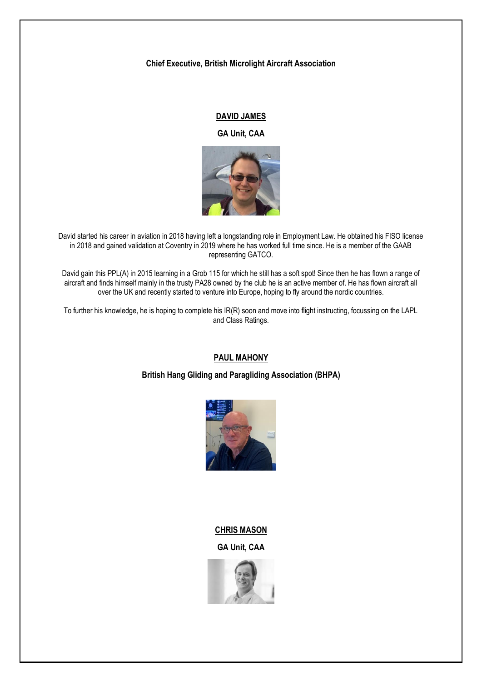## **Chief Executive, British Microlight Aircraft Association**

# **DAVID JAMES**

**GA Unit, CAA**



David started his career in aviation in 2018 having left a longstanding role in Employment Law. He obtained his FISO license in 2018 and gained validation at Coventry in 2019 where he has worked full time since. He is a member of the GAAB representing GATCO.

David gain this PPL(A) in 2015 learning in a Grob 115 for which he still has a soft spot! Since then he has flown a range of aircraft and finds himself mainly in the trusty PA28 owned by the club he is an active member of. He has flown aircraft all over the UK and recently started to venture into Europe, hoping to fly around the nordic countries.

To further his knowledge, he is hoping to complete his IR(R) soon and move into flight instructing, focussing on the LAPL and Class Ratings.

## **PAUL MAHONY**

**British Hang Gliding and Paragliding Association (BHPA)**



# **CHRIS MASON**

**GA Unit, CAA**

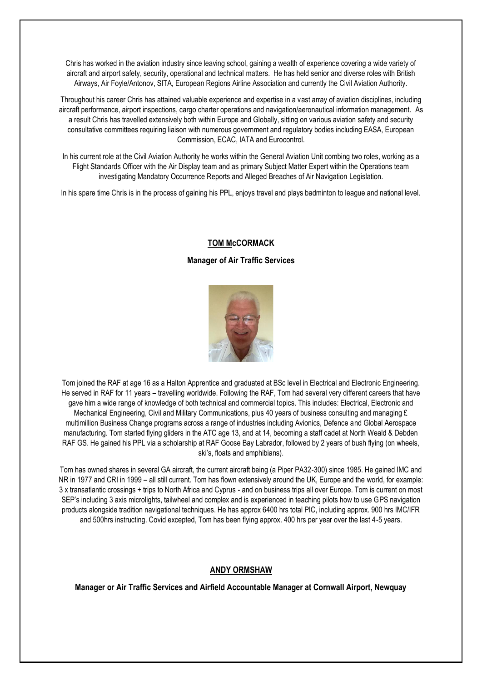Chris has worked in the aviation industry since leaving school, gaining a wealth of experience covering a wide variety of aircraft and airport safety, security, operational and technical matters. He has held senior and diverse roles with British Airways, Air Foyle/Antonov, SITA, European Regions Airline Association and currently the Civil Aviation Authority.

Throughout his career Chris has attained valuable experience and expertise in a vast array of aviation disciplines, including aircraft performance, airport inspections, cargo charter operations and navigation/aeronautical information management. As a result Chris has travelled extensively both within Europe and Globally, sitting on various aviation safety and security consultative committees requiring liaison with numerous government and regulatory bodies including EASA, European Commission, ECAC, IATA and Eurocontrol.

In his current role at the Civil Aviation Authority he works within the General Aviation Unit combing two roles, working as a Flight Standards Officer with the Air Display team and as primary Subject Matter Expert within the Operations team investigating Mandatory Occurrence Reports and Alleged Breaches of Air Navigation Legislation.

In his spare time Chris is in the process of gaining his PPL, enjoys travel and plays badminton to league and national level.

## **TOM McCORMACK**

## **Manager of Air Traffic Services**



Tom joined the RAF at age 16 as a Halton Apprentice and graduated at BSc level in Electrical and Electronic Engineering. He served in RAF for 11 years – travelling worldwide. Following the RAF, Tom had several very different careers that have gave him a wide range of knowledge of both technical and commercial topics. This includes: Electrical, Electronic and Mechanical Engineering, Civil and Military Communications, plus 40 years of business consulting and managing  $E$ multimillion Business Change programs across a range of industries including Avionics, Defence and Global Aerospace manufacturing. Tom started flying gliders in the ATC age 13, and at 14, becoming a staff cadet at North Weald & Debden RAF GS. He gained his PPL via a scholarship at RAF Goose Bay Labrador, followed by 2 years of bush flying (on wheels, ski's, floats and amphibians).

Tom has owned shares in several GA aircraft, the current aircraft being (a Piper PA32-300) since 1985. He gained IMC and NR in 1977 and CRI in 1999 – all still current. Tom has flown extensively around the UK, Europe and the world, for example: 3 x transatlantic crossings + trips to North Africa and Cyprus - and on business trips all over Europe. Tom is current on most SEP's including 3 axis microlights, tailwheel and complex and is experienced in teaching pilots how to use GPS navigation products alongside tradition navigational techniques. He has approx 6400 hrs total PIC, including approx. 900 hrs IMC/IFR and 500hrs instructing. Covid excepted, Tom has been flying approx. 400 hrs per year over the last 4-5 years.

## **ANDY ORMSHAW**

**Manager or Air Traffic Services and Airfield Accountable Manager at Cornwall Airport, Newquay**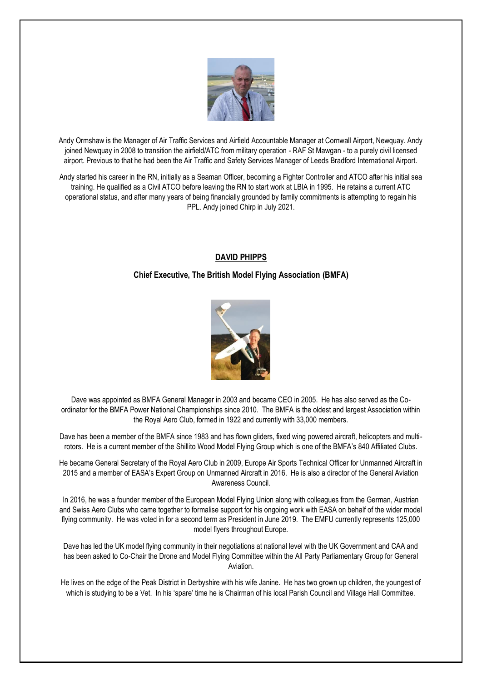

Andy Ormshaw is the Manager of Air Traffic Services and Airfield Accountable Manager at Cornwall Airport, Newquay. Andy joined Newquay in 2008 to transition the airfield/ATC from military operation - RAF St Mawgan - to a purely civil licensed airport. Previous to that he had been the Air Traffic and Safety Services Manager of Leeds Bradford International Airport.

Andy started his career in the RN, initially as a Seaman Officer, becoming a Fighter Controller and ATCO after his initial sea training. He qualified as a Civil ATCO before leaving the RN to start work at LBIA in 1995. He retains a current ATC operational status, and after many years of being financially grounded by family commitments is attempting to regain his PPL. Andy joined Chirp in July 2021.

# **DAVID PHIPPS**

## **Chief Executive, The British Model Flying Association (BMFA)**



Dave was appointed as BMFA General Manager in 2003 and became CEO in 2005. He has also served as the Coordinator for the BMFA Power National Championships since 2010. The BMFA is the oldest and largest Association within the Royal Aero Club, formed in 1922 and currently with 33,000 members.

Dave has been a member of the BMFA since 1983 and has flown gliders, fixed wing powered aircraft, helicopters and multirotors. He is a current member of the Shillito Wood Model Flying Group which is one of the BMFA's 840 Affiliated Clubs.

He became General Secretary of the Royal Aero Club in 2009, Europe Air Sports Technical Officer for Unmanned Aircraft in 2015 and a member of EASA's Expert Group on Unmanned Aircraft in 2016. He is also a director of the General Aviation Awareness Council.

In 2016, he was a founder member of the European Model Flying Union along with colleagues from the German, Austrian and Swiss Aero Clubs who came together to formalise support for his ongoing work with EASA on behalf of the wider model flying community. He was voted in for a second term as President in June 2019. The EMFU currently represents 125,000 model flyers throughout Europe.

Dave has led the UK model flying community in their negotiations at national level with the UK Government and CAA and has been asked to Co-Chair the Drone and Model Flying Committee within the All Party Parliamentary Group for General Aviation.

He lives on the edge of the Peak District in Derbyshire with his wife Janine. He has two grown up children, the youngest of which is studying to be a Vet. In his 'spare' time he is Chairman of his local Parish Council and Village Hall Committee.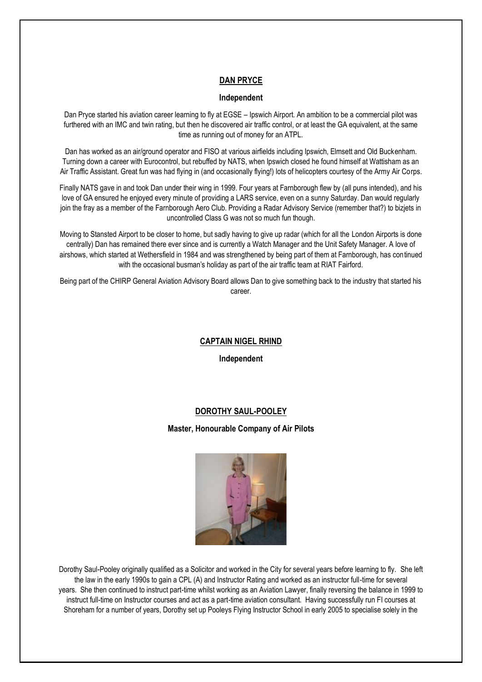# **DAN PRYCE**

#### **Independent**

Dan Pryce started his aviation career learning to fly at EGSE – Ipswich Airport. An ambition to be a commercial pilot was furthered with an IMC and twin rating, but then he discovered air traffic control, or at least the GA equivalent, at the same time as running out of money for an ATPL.

Dan has worked as an air/ground operator and FISO at various airfields including Ipswich, Elmsett and Old Buckenham. Turning down a career with Eurocontrol, but rebuffed by NATS, when Ipswich closed he found himself at Wattisham as an Air Traffic Assistant. Great fun was had flying in (and occasionally flying!) lots of helicopters courtesy of the Army Air Corps.

Finally NATS gave in and took Dan under their wing in 1999. Four years at Farnborough flew by (all puns intended), and his love of GA ensured he enjoyed every minute of providing a LARS service, even on a sunny Saturday. Dan would regularly join the fray as a member of the Farnborough Aero Club. Providing a Radar Advisory Service (remember that?) to bizjets in uncontrolled Class G was not so much fun though.

Moving to Stansted Airport to be closer to home, but sadly having to give up radar (which for all the London Airports is done centrally) Dan has remained there ever since and is currently a Watch Manager and the Unit Safety Manager. A love of airshows, which started at Wethersfield in 1984 and was strengthened by being part of them at Farnborough, has continued with the occasional busman's holiday as part of the air traffic team at RIAT Fairford.

Being part of the CHIRP General Aviation Advisory Board allows Dan to give something back to the industry that started his career.

#### **CAPTAIN NIGEL RHIND**

**Independent**

## **DOROTHY SAUL-POOLEY**

**Master, Honourable Company of Air Pilots**



Dorothy Saul-Pooley originally qualified as a Solicitor and worked in the City for several years before learning to fly. She left the law in the early 1990s to gain a CPL (A) and Instructor Rating and worked as an instructor full-time for several years. She then continued to instruct part-time whilst working as an Aviation Lawyer, finally reversing the balance in 1999 to instruct full-time on Instructor courses and act as a part-time aviation consultant. Having successfully run FI courses at Shoreham for a number of years, Dorothy set up Pooleys Flying Instructor School in early 2005 to specialise solely in the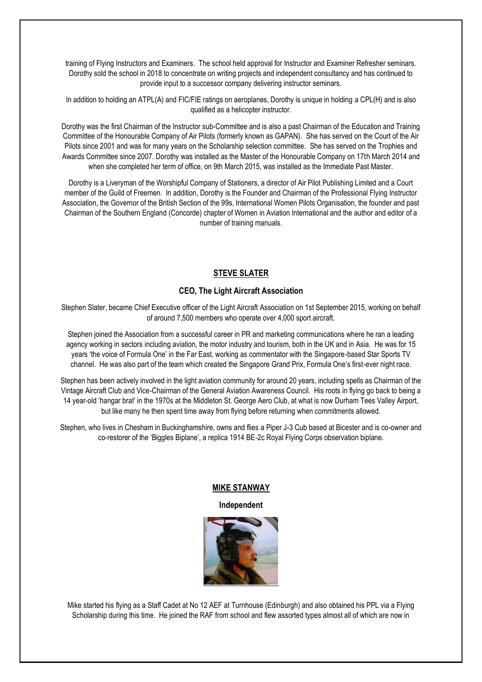training of Flying Instructors and Examiners. The school held approval for Instructor and Examiner Refresher seminars. Dorothy sold the school in 2018 to concentrate on writing projects and independent consultancy and has continued to provide input to a successor company delivering instructor seminars.

In addition to holding an ATPL(A) and FIC/FIE ratings on aeroplanes, Dorothy is unique in holding a CPL(H) and is also qualified as a helicopter instructor.

Dorothy was the first Chairman of the Instructor sub-Committee and is also a past Chairman of the Education and Training Committee of the Honourable Company of Air Pilots (formerly known as GAPAN). She has served on the Court of the Air Pilots since 2001 and was for many years on the Scholarship selection committee. She has served on the Trophies and Awards Committee since 2007. Dorothy was installed as the Master of the Honourable Company on 17th March 2014 and when she completed her term of office, on 9th March 2015, was installed as the Immediate Past Master.

Dorothy is a Liveryman of the Worshipful Company of Stationers, a director of Air Pilot Publishing Limited and a Court member of the Guild of Freemen. In addition, Dorothy is the Founder and Chairman of the Professional Flying Instructor Association, the Governor of the British Section of the 99s, International Women Pilots Organisation, the founder and past Chairman of the Southern England (Concorde) chapter of Women in Aviation International and the author and editor of a number of training manuals.

## **STEVE SLATER**

#### **CEO, The Light Aircraft Association**

Stephen Slater, became Chief Executive officer of the Light Aircraft Association on 1st September 2015, working on behalf of around 7,500 members who operate over 4,000 sport aircraft.

Stephen joined the Association from a successful career in PR and marketing communications where he ran a leading agency working in sectors including aviation, the motor industry and tourism, both in the UK and in Asia. He was for 15 years 'the voice of Formula One' in the Far East, working as commentator with the Singapore-based Star Sports TV channel. He was also part of the team which created the Singapore Grand Prix, Formula One's first-ever night race.

Stephen has been actively involved in the light aviation community for around 20 years, including spells as Chairman of the Vintage Aircraft Club and Vice-Chairman of the General Aviation Awareness Council. His roots in flying go back to being a 14 year-old 'hangar brat' in the 1970s at the Middleton St. George Aero Club, at what is now Durham Tees Valley Airport, but like many he then spent time away from flying before returning when commitments allowed.

Stephen, who lives in Chesham in Buckinghamshire, owns and flies a Piper J-3 Cub based at Bicester and is co-owner and co-restorer of the 'Biggles Biplane', a replica 1914 BE-2c Royal Flying Corps observation biplane.

#### **MIKE STANWAY**

**Independent**



Mike started his flying as a Staff Cadet at No 12 AEF at Turnhouse (Edinburgh) and also obtained his PPL via a Flying Scholarship during this time. He joined the RAF from school and flew assorted types almost all of which are now in